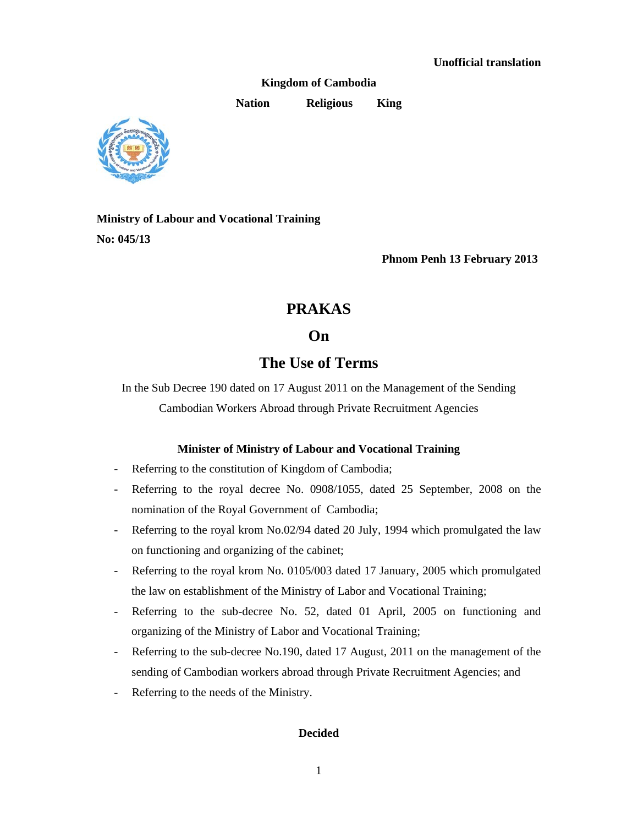**Kingdom of Cambodia** 

**Nation Religious King** 



**Ministry of Labour and Vocational Training No: 045/13** 

**Phnom Penh 13 February 2013** 

## **PRAKAS**

## **On**

# **The Use of Terms**

In the Sub Decree 190 dated on 17 August 2011 on the Management of the Sending Cambodian Workers Abroad through Private Recruitment Agencies

## **Minister of Ministry of Labour and Vocational Training**

- Referring to the constitution of Kingdom of Cambodia;
- Referring to the royal decree No. 0908/1055, dated 25 September, 2008 on the nomination of the Royal Government of Cambodia;
- Referring to the royal krom No.02/94 dated 20 July, 1994 which promulgated the law on functioning and organizing of the cabinet;
- Referring to the royal krom No. 0105/003 dated 17 January, 2005 which promulgated the law on establishment of the Ministry of Labor and Vocational Training;
- Referring to the sub-decree No. 52, dated 01 April, 2005 on functioning and organizing of the Ministry of Labor and Vocational Training;
- Referring to the sub-decree No.190, dated 17 August, 2011 on the management of the sending of Cambodian workers abroad through Private Recruitment Agencies; and
- Referring to the needs of the Ministry.

## **Decided**